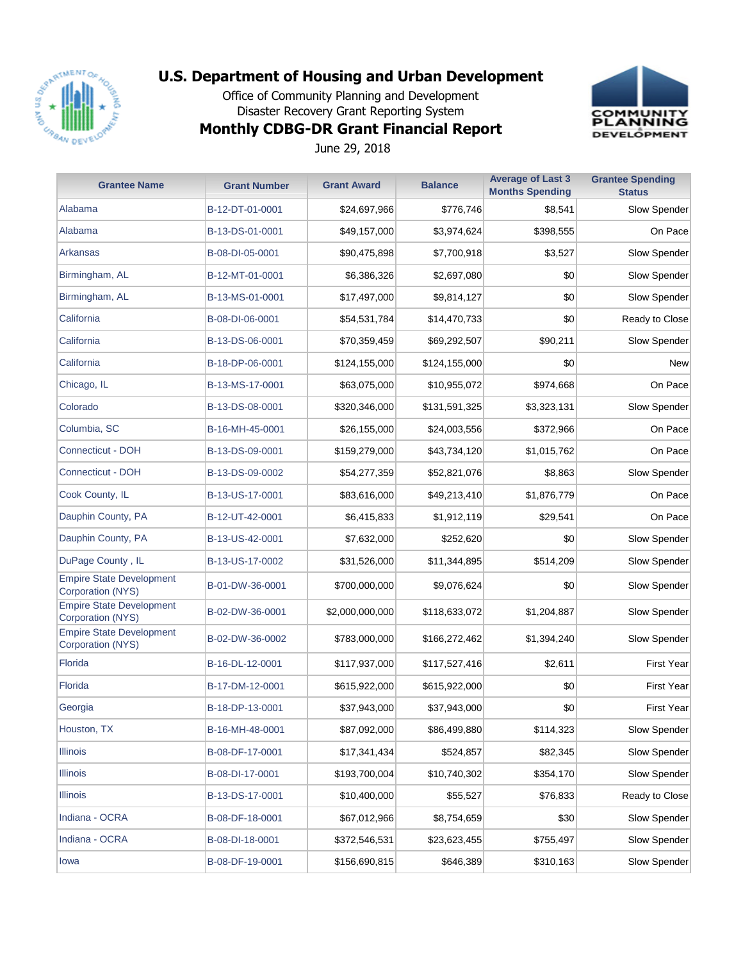

Office of Community Planning and Development Disaster Recovery Grant Reporting System





June 29, 2018

| <b>Grantee Name</b>                                  | <b>Grant Number</b> | <b>Grant Award</b> | <b>Balance</b> | <b>Average of Last 3</b><br><b>Months Spending</b> | <b>Grantee Spending</b><br><b>Status</b> |
|------------------------------------------------------|---------------------|--------------------|----------------|----------------------------------------------------|------------------------------------------|
| Alabama                                              | B-12-DT-01-0001     | \$24,697,966       | \$776,746      | \$8,541                                            | Slow Spender                             |
| Alabama                                              | B-13-DS-01-0001     | \$49,157,000       | \$3,974,624    | \$398,555                                          | On Pace                                  |
| Arkansas                                             | B-08-DI-05-0001     | \$90,475,898       | \$7,700,918    | \$3,527                                            | Slow Spender                             |
| Birmingham, AL                                       | B-12-MT-01-0001     | \$6,386,326        | \$2,697,080    | \$0                                                | Slow Spender                             |
| Birmingham, AL                                       | B-13-MS-01-0001     | \$17,497,000       | \$9,814,127    | \$0                                                | Slow Spender                             |
| California                                           | B-08-DI-06-0001     | \$54,531,784       | \$14,470,733   | \$0                                                | Ready to Close                           |
| California                                           | B-13-DS-06-0001     | \$70,359,459       | \$69,292,507   | \$90,211                                           | Slow Spender                             |
| California                                           | B-18-DP-06-0001     | \$124,155,000      | \$124,155,000  | \$0                                                | <b>New</b>                               |
| Chicago, IL                                          | B-13-MS-17-0001     | \$63,075,000       | \$10,955,072   | \$974,668                                          | On Pace                                  |
| Colorado                                             | B-13-DS-08-0001     | \$320,346,000      | \$131,591,325  | \$3,323,131                                        | Slow Spender                             |
| Columbia, SC                                         | B-16-MH-45-0001     | \$26,155,000       | \$24,003,556   | \$372,966                                          | On Pace                                  |
| Connecticut - DOH                                    | B-13-DS-09-0001     | \$159,279,000      | \$43,734,120   | \$1,015,762                                        | On Pace                                  |
| Connecticut - DOH                                    | B-13-DS-09-0002     | \$54,277,359       | \$52,821,076   | \$8,863                                            | Slow Spender                             |
| Cook County, IL                                      | B-13-US-17-0001     | \$83,616,000       | \$49,213,410   | \$1,876,779                                        | On Pace                                  |
| Dauphin County, PA                                   | B-12-UT-42-0001     | \$6,415,833        | \$1,912,119    | \$29,541                                           | On Pace                                  |
| Dauphin County, PA                                   | B-13-US-42-0001     | \$7,632,000        | \$252,620      | \$0                                                | Slow Spender                             |
| DuPage County, IL                                    | B-13-US-17-0002     | \$31,526,000       | \$11,344,895   | \$514,209                                          | Slow Spender                             |
| <b>Empire State Development</b><br>Corporation (NYS) | B-01-DW-36-0001     | \$700,000,000      | \$9,076,624    | \$0                                                | Slow Spender                             |
| <b>Empire State Development</b><br>Corporation (NYS) | B-02-DW-36-0001     | \$2,000,000,000    | \$118,633,072  | \$1,204,887                                        | Slow Spender                             |
| <b>Empire State Development</b><br>Corporation (NYS) | B-02-DW-36-0002     | \$783,000,000      | \$166,272,462  | \$1,394,240                                        | Slow Spender                             |
| Florida                                              | B-16-DL-12-0001     | \$117,937,000      | \$117,527,416  | \$2,611                                            | First Year                               |
| Florida                                              | B-17-DM-12-0001     | \$615,922,000      | \$615,922,000  | \$0                                                | <b>First Year</b>                        |
| Georgia                                              | B-18-DP-13-0001     | \$37,943,000       | \$37,943,000   | \$0                                                | First Year                               |
| Houston, TX                                          | B-16-MH-48-0001     | \$87,092,000       | \$86,499,880   | \$114,323                                          | Slow Spender                             |
| <b>Illinois</b>                                      | B-08-DF-17-0001     | \$17,341,434       | \$524,857      | \$82,345                                           | Slow Spender                             |
| <b>Illinois</b>                                      | B-08-DI-17-0001     | \$193,700,004      | \$10,740,302   | \$354,170                                          | Slow Spender                             |
| <b>Illinois</b>                                      | B-13-DS-17-0001     | \$10,400,000       | \$55,527       | \$76,833                                           | Ready to Close                           |
| Indiana - OCRA                                       | B-08-DF-18-0001     | \$67,012,966       | \$8,754,659    | \$30                                               | Slow Spender                             |
| Indiana - OCRA                                       | B-08-DI-18-0001     | \$372,546,531      | \$23,623,455   | \$755,497                                          | Slow Spender                             |
| lowa                                                 | B-08-DF-19-0001     | \$156,690,815      | \$646,389      | \$310,163                                          | Slow Spender                             |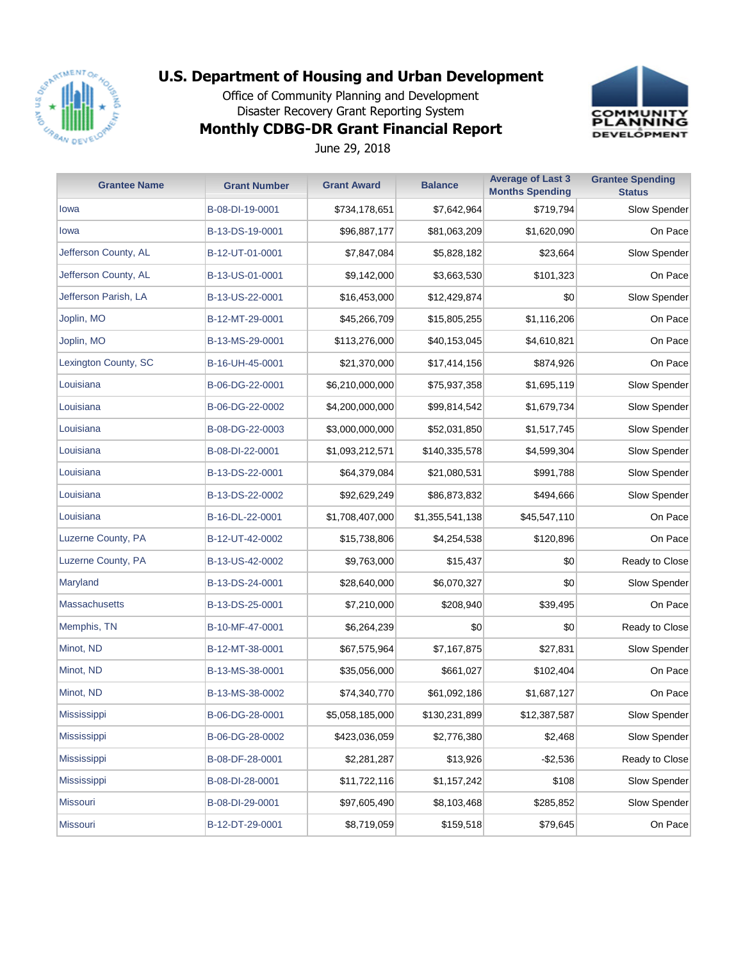

Office of Community Planning and Development Disaster Recovery Grant Reporting System



## **Monthly CDBG-DR Grant Financial Report**

June 29, 2018

| <b>Grantee Name</b>  | <b>Grant Number</b> | <b>Grant Award</b> | <b>Balance</b>  | <b>Average of Last 3</b><br><b>Months Spending</b> | <b>Grantee Spending</b><br><b>Status</b> |
|----------------------|---------------------|--------------------|-----------------|----------------------------------------------------|------------------------------------------|
| lowa                 | B-08-DI-19-0001     | \$734,178,651      | \$7,642,964     | \$719,794                                          | Slow Spender                             |
| lowa                 | B-13-DS-19-0001     | \$96,887,177       | \$81,063,209    | \$1,620,090                                        | On Pace                                  |
| Jefferson County, AL | B-12-UT-01-0001     | \$7,847,084        | \$5,828,182     | \$23,664                                           | Slow Spender                             |
| Jefferson County, AL | B-13-US-01-0001     | \$9,142,000        | \$3,663,530     | \$101,323                                          | On Pace                                  |
| Jefferson Parish, LA | B-13-US-22-0001     | \$16,453,000       | \$12,429,874    | \$0                                                | Slow Spender                             |
| Joplin, MO           | B-12-MT-29-0001     | \$45,266,709       | \$15,805,255    | \$1,116,206                                        | On Pace                                  |
| Joplin, MO           | B-13-MS-29-0001     | \$113,276,000      | \$40,153,045    | \$4,610,821                                        | On Pace                                  |
| Lexington County, SC | B-16-UH-45-0001     | \$21,370,000       | \$17,414,156    | \$874,926                                          | On Pace                                  |
| Louisiana            | B-06-DG-22-0001     | \$6,210,000,000    | \$75,937,358    | \$1,695,119                                        | Slow Spender                             |
| Louisiana            | B-06-DG-22-0002     | \$4,200,000,000    | \$99,814,542    | \$1,679,734                                        | Slow Spender                             |
| Louisiana            | B-08-DG-22-0003     | \$3,000,000,000    | \$52,031,850    | \$1,517,745                                        | Slow Spender                             |
| Louisiana            | B-08-DI-22-0001     | \$1,093,212,571    | \$140,335,578   | \$4,599,304                                        | Slow Spender                             |
| Louisiana            | B-13-DS-22-0001     | \$64,379,084       | \$21,080,531    | \$991,788                                          | Slow Spender                             |
| Louisiana            | B-13-DS-22-0002     | \$92,629,249       | \$86,873,832    | \$494,666                                          | Slow Spender                             |
| Louisiana            | B-16-DL-22-0001     | \$1,708,407,000    | \$1,355,541,138 | \$45,547,110                                       | On Pace                                  |
| Luzerne County, PA   | B-12-UT-42-0002     | \$15,738,806       | \$4,254,538     | \$120,896                                          | On Pace                                  |
| Luzerne County, PA   | B-13-US-42-0002     | \$9,763,000        | \$15,437        | \$0                                                | Ready to Close                           |
| Maryland             | B-13-DS-24-0001     | \$28,640,000       | \$6,070,327     | \$0                                                | Slow Spender                             |
| <b>Massachusetts</b> | B-13-DS-25-0001     | \$7,210,000        | \$208,940       | \$39,495                                           | On Pace                                  |
| Memphis, TN          | B-10-MF-47-0001     | \$6,264,239        | \$0             | \$0                                                | Ready to Close                           |
| Minot, ND            | B-12-MT-38-0001     | \$67,575,964       | \$7,167,875     | \$27,831                                           | Slow Spender                             |
| Minot, ND            | B-13-MS-38-0001     | \$35,056,000       | \$661,027       | \$102,404                                          | On Pace                                  |
| Minot, ND            | B-13-MS-38-0002     | \$74,340,770       | \$61,092,186    | \$1,687,127                                        | On Pace                                  |
| <b>Mississippi</b>   | B-06-DG-28-0001     | \$5,058,185,000    | \$130,231,899   | \$12,387,587                                       | Slow Spender                             |
| Mississippi          | B-06-DG-28-0002     | \$423,036,059      | \$2,776,380     | \$2,468                                            | Slow Spender                             |
| <b>Mississippi</b>   | B-08-DF-28-0001     | \$2,281,287        | \$13,926        | $-$2,536$                                          | Ready to Close                           |
| Mississippi          | B-08-DI-28-0001     | \$11,722,116       | \$1,157,242     | \$108                                              | Slow Spender                             |
| <b>Missouri</b>      | B-08-DI-29-0001     | \$97,605,490       | \$8,103,468     | \$285,852                                          | Slow Spender                             |
| Missouri             | B-12-DT-29-0001     | \$8,719,059        | \$159,518       | \$79,645                                           | On Pace                                  |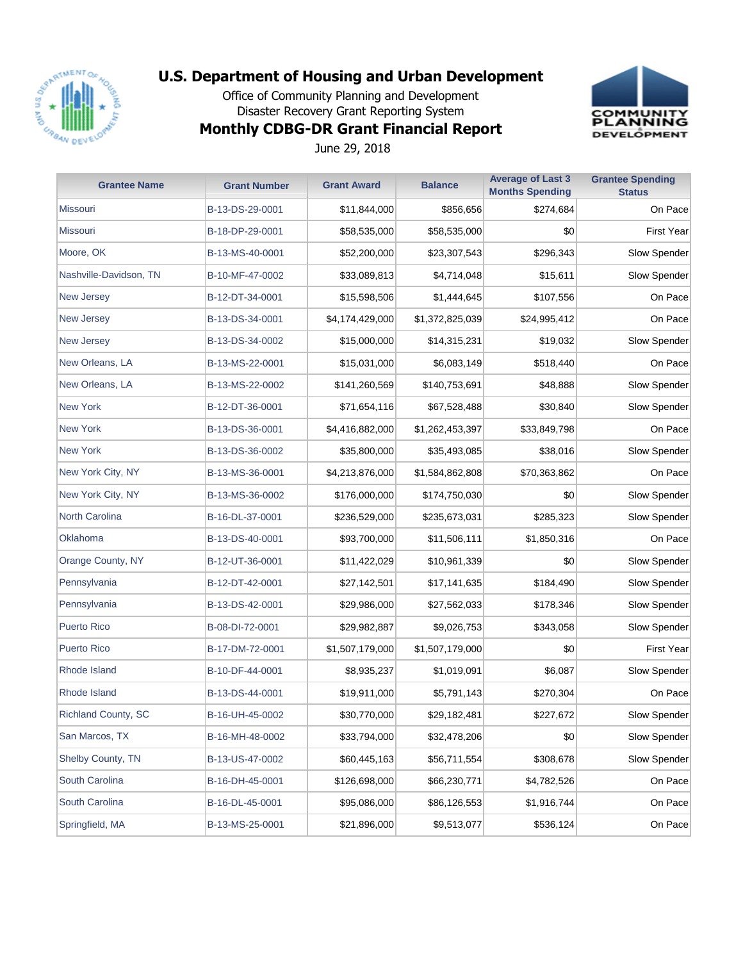

Office of Community Planning and Development Disaster Recovery Grant Reporting System



# **Monthly CDBG-DR Grant Financial Report**

June 29, 2018

| <b>Grantee Name</b>        | <b>Grant Number</b> | <b>Grant Award</b> | <b>Balance</b>  | <b>Average of Last 3</b><br><b>Months Spending</b> | <b>Grantee Spending</b><br><b>Status</b> |
|----------------------------|---------------------|--------------------|-----------------|----------------------------------------------------|------------------------------------------|
| <b>Missouri</b>            | B-13-DS-29-0001     | \$11,844,000       | \$856,656       | \$274,684                                          | On Pace                                  |
| <b>Missouri</b>            | B-18-DP-29-0001     | \$58,535,000       | \$58,535,000    | \$0                                                | <b>First Year</b>                        |
| Moore, OK                  | B-13-MS-40-0001     | \$52,200,000       | \$23,307,543    | \$296,343                                          | Slow Spender                             |
| Nashville-Davidson, TN     | B-10-MF-47-0002     | \$33,089,813       | \$4,714,048     | \$15,611                                           | Slow Spender                             |
| <b>New Jersey</b>          | B-12-DT-34-0001     | \$15,598,506       | \$1,444,645     | \$107,556                                          | On Pace                                  |
| <b>New Jersey</b>          | B-13-DS-34-0001     | \$4,174,429,000    | \$1,372,825,039 | \$24,995,412                                       | On Pace                                  |
| <b>New Jersey</b>          | B-13-DS-34-0002     | \$15,000,000       | \$14,315,231    | \$19,032                                           | Slow Spender                             |
| New Orleans, LA            | B-13-MS-22-0001     | \$15,031,000       | \$6,083,149     | \$518,440                                          | On Pace                                  |
| New Orleans, LA            | B-13-MS-22-0002     | \$141,260,569      | \$140,753,691   | \$48,888                                           | Slow Spender                             |
| <b>New York</b>            | B-12-DT-36-0001     | \$71,654,116       | \$67,528,488    | \$30,840                                           | Slow Spender                             |
| <b>New York</b>            | B-13-DS-36-0001     | \$4,416,882,000    | \$1,262,453,397 | \$33,849,798                                       | On Pace                                  |
| <b>New York</b>            | B-13-DS-36-0002     | \$35,800,000       | \$35,493,085    | \$38,016                                           | Slow Spender                             |
| New York City, NY          | B-13-MS-36-0001     | \$4,213,876,000    | \$1,584,862,808 | \$70,363,862                                       | On Pace                                  |
| New York City, NY          | B-13-MS-36-0002     | \$176,000,000      | \$174,750,030   | \$0                                                | Slow Spender                             |
| North Carolina             | B-16-DL-37-0001     | \$236,529,000      | \$235,673,031   | \$285,323                                          | Slow Spender                             |
| Oklahoma                   | B-13-DS-40-0001     | \$93,700,000       | \$11,506,111    | \$1,850,316                                        | On Pace                                  |
| Orange County, NY          | B-12-UT-36-0001     | \$11,422,029       | \$10,961,339    | \$0                                                | Slow Spender                             |
| Pennsylvania               | B-12-DT-42-0001     | \$27,142,501       | \$17,141,635    | \$184,490                                          | Slow Spender                             |
| Pennsylvania               | B-13-DS-42-0001     | \$29,986,000       | \$27,562,033    | \$178,346                                          | Slow Spender                             |
| <b>Puerto Rico</b>         | B-08-DI-72-0001     | \$29,982,887       | \$9,026,753     | \$343,058                                          | Slow Spender                             |
| <b>Puerto Rico</b>         | B-17-DM-72-0001     | \$1,507,179,000    | \$1,507,179,000 | \$0                                                | <b>First Year</b>                        |
| Rhode Island               | B-10-DF-44-0001     | \$8,935,237        | \$1,019,091     | \$6,087                                            | Slow Spender                             |
| Rhode Island               | B-13-DS-44-0001     | \$19,911,000       | \$5,791,143     | \$270,304                                          | On Pace                                  |
| <b>Richland County, SC</b> | B-16-UH-45-0002     | \$30,770,000       | \$29,182,481    | \$227,672                                          | Slow Spender                             |
| San Marcos, TX             | B-16-MH-48-0002     | \$33,794,000       | \$32,478,206    | \$0                                                | Slow Spender                             |
| Shelby County, TN          | B-13-US-47-0002     | \$60,445,163       | \$56,711,554    | \$308,678                                          | Slow Spender                             |
| South Carolina             | B-16-DH-45-0001     | \$126,698,000      | \$66,230,771    | \$4,782,526                                        | On Pace                                  |
| South Carolina             | B-16-DL-45-0001     | \$95,086,000       | \$86,126,553    | \$1,916,744                                        | On Pace                                  |
| Springfield, MA            | B-13-MS-25-0001     | \$21,896,000       | \$9,513,077     | \$536,124                                          | On Pace                                  |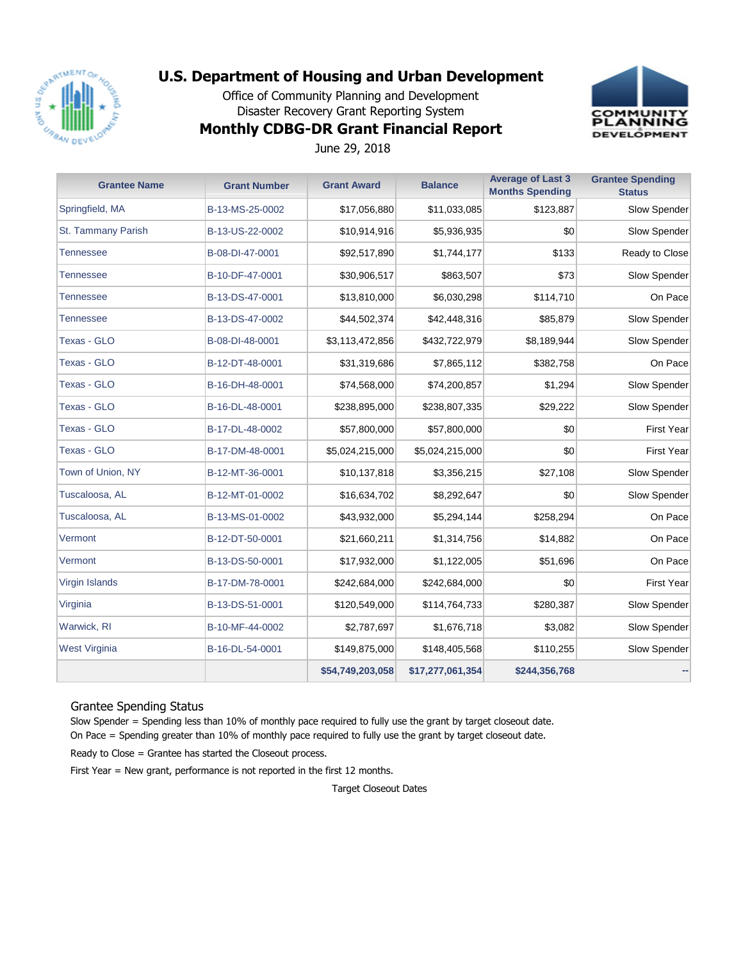

Office of Community Planning and Development Disaster Recovery Grant Reporting System



### **Monthly CDBG-DR Grant Financial Report**

June 29, 2018

| <b>Grantee Name</b> | <b>Grant Number</b> | <b>Grant Award</b> | <b>Balance</b>   | <b>Average of Last 3</b><br><b>Months Spending</b> | <b>Grantee Spending</b><br><b>Status</b> |
|---------------------|---------------------|--------------------|------------------|----------------------------------------------------|------------------------------------------|
| Springfield, MA     | B-13-MS-25-0002     | \$17,056,880       | \$11,033,085     | \$123,887                                          | Slow Spender                             |
| St. Tammany Parish  | B-13-US-22-0002     | \$10,914,916       | \$5,936,935      | \$0                                                | Slow Spender                             |
| Tennessee           | B-08-DI-47-0001     | \$92,517,890       | \$1,744,177      | \$133                                              | Ready to Close                           |
| Tennessee           | B-10-DF-47-0001     | \$30,906,517       | \$863,507        | \$73                                               | Slow Spender                             |
| Tennessee           | B-13-DS-47-0001     | \$13,810,000       | \$6,030,298      | \$114,710                                          | On Pace                                  |
| Tennessee           | B-13-DS-47-0002     | \$44,502,374       | \$42,448,316     | \$85,879                                           | Slow Spender                             |
| Texas - GLO         | B-08-DI-48-0001     | \$3,113,472,856    | \$432,722,979    | \$8,189,944                                        | Slow Spender                             |
| Texas - GLO         | B-12-DT-48-0001     | \$31,319,686       | \$7,865,112      | \$382,758                                          | On Pace                                  |
| Texas - GLO         | B-16-DH-48-0001     | \$74,568,000       | \$74,200,857     | \$1,294                                            | Slow Spender                             |
| Texas - GLO         | B-16-DL-48-0001     | \$238,895,000      | \$238,807,335    | \$29,222                                           | Slow Spender                             |
| Texas - GLO         | B-17-DL-48-0002     | \$57,800,000       | \$57,800,000     | \$0                                                | <b>First Year</b>                        |
| Texas - GLO         | B-17-DM-48-0001     | \$5,024,215,000    | \$5,024,215,000  | \$0                                                | <b>First Year</b>                        |
| Town of Union, NY   | B-12-MT-36-0001     | \$10,137,818       | \$3,356,215      | \$27,108                                           | Slow Spender                             |
| Tuscaloosa, AL      | B-12-MT-01-0002     | \$16,634,702       | \$8,292,647      | \$0                                                | Slow Spender                             |
| Tuscaloosa, AL      | B-13-MS-01-0002     | \$43,932,000       | \$5,294,144      | \$258,294                                          | On Pace                                  |
| Vermont             | B-12-DT-50-0001     | \$21,660,211       | \$1,314,756      | \$14,882                                           | On Pace                                  |
| Vermont             | B-13-DS-50-0001     | \$17,932,000       | \$1,122,005      | \$51,696                                           | On Pace                                  |
| Virgin Islands      | B-17-DM-78-0001     | \$242,684,000      | \$242,684,000    | \$0                                                | <b>First Year</b>                        |
| Virginia            | B-13-DS-51-0001     | \$120,549,000      | \$114,764,733    | \$280,387                                          | Slow Spender                             |
| Warwick, RI         | B-10-MF-44-0002     | \$2,787,697        | \$1,676,718      | \$3,082                                            | Slow Spender                             |
| West Virginia       | B-16-DL-54-0001     | \$149,875,000      | \$148,405,568    | \$110,255                                          | Slow Spender                             |
|                     |                     | \$54,749,203,058   | \$17,277,061,354 | \$244,356,768                                      |                                          |

#### Grantee Spending Status

Slow Spender = Spending less than 10% of monthly pace required to fully use the grant by target closeout date. On Pace = Spending greater than 10% of monthly pace required to fully use the grant by target closeout date.

Ready to Close = Grantee has started the Closeout process.

First Year = New grant, performance is not reported in the first 12 months.

Target Closeout Dates